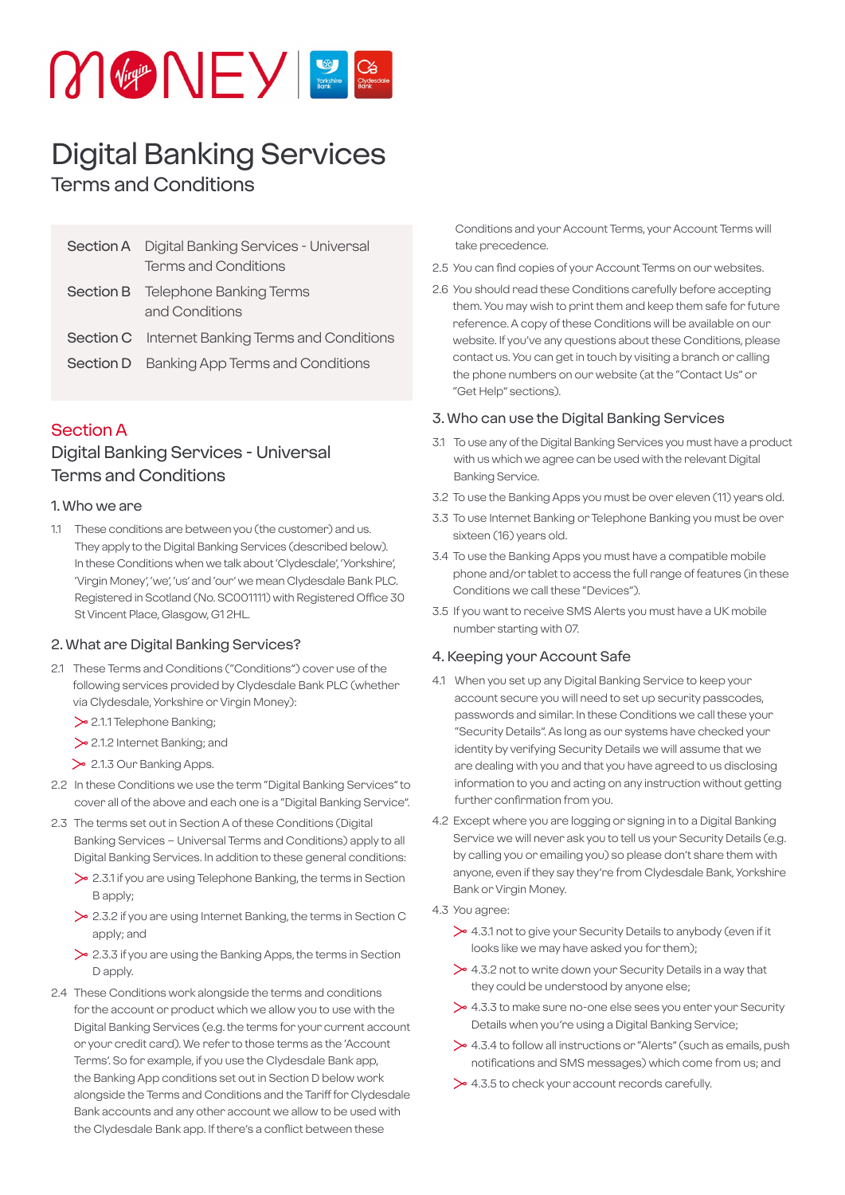

# Digital Banking Services

# Terms and Conditions

| <b>Section A</b> Digital Banking Services - Universal<br><b>Terms and Conditions</b> |
|--------------------------------------------------------------------------------------|
| <b>Section B</b> Telephone Banking Terms<br>and Conditions                           |
| <b>Section C</b> Internet Banking Terms and Conditions                               |
| Section D Banking App Terms and Conditions                                           |

## Section A

# Digital Banking Services - Universal Terms and Conditions

#### 1. Who we are

1.1 These conditions are between you (the customer) and us. They apply to the Digital Banking Services (described below). In these Conditions when we talk about 'Clydesdale', 'Yorkshire', 'Virgin Money', 'we', 'us' and 'our' we mean Clydesdale Bank PLC. Registered in Scotland (No. SC001111) with Registered Office 30 St Vincent Place, Glasgow, G1 2HL.

#### 2. What are Digital Banking Services?

- 2.1 These Terms and Conditions ("Conditions") cover use of the following services provided by Clydesdale Bank PLC (whether via Clydesdale, Yorkshire or Virgin Money):
	- > 2.1.1 Telephone Banking:
	- 2.1.2 Internet Banking; and
	- > 2.1.3 Our Banking Apps.
- 2.2 In these Conditions we use the term "Digital Banking Services" to cover all of the above and each one is a "Digital Banking Service".
- 2.3 The terms set out in Section A of these Conditions (Digital Banking Services – Universal Terms and Conditions) apply to all Digital Banking Services. In addition to these general conditions:
	- $\geq$  2.3.1 if you are using Telephone Banking, the terms in Section B apply;
	- $\geq$  2.3.2 if you are using Internet Banking, the terms in Section C apply; and
	- $\geq$  2.3.3 if you are using the Banking Apps, the terms in Section D apply.
- 2.4 These Conditions work alongside the terms and conditions for the account or product which we allow you to use with the Digital Banking Services (e.g. the terms for your current account or your credit card). We refer to those terms as the 'Account Terms'. So for example, if you use the Clydesdale Bank app, the Banking App conditions set out in Section D below work alongside the Terms and Conditions and the Tariff for Clydesdale Bank accounts and any other account we allow to be used with the Clydesdale Bank app. If there's a conflict between these

Conditions and your Account Terms, your Account Terms will take precedence.

- 2.5 You can find copies of your Account Terms on our websites.
- 2.6 You should read these Conditions carefully before accepting them. You may wish to print them and keep them safe for future reference. A copy of these Conditions will be available on our website. If you've any questions about these Conditions, please contact us. You can get in touch by visiting a branch or calling the phone numbers on our website (at the "Contact Us" or "Get Help" sections).

#### 3. Who can use the Digital Banking Services

- 3.1 To use any of the Digital Banking Services you must have a product with us which we agree can be used with the relevant Digital Banking Service.
- 3.2 To use the Banking Apps you must be over eleven (11) years old.
- 3.3 To use Internet Banking or Telephone Banking you must be over sixteen (16) years old.
- 3.4 To use the Banking Apps you must have a compatible mobile phone and/or tablet to access the full range of features (in these Conditions we call these "Devices").
- 3.5 If you want to receive SMS Alerts you must have a UK mobile number starting with 07.

#### 4. Keeping your Account Safe

- 4.1 When you set up any Digital Banking Service to keep your account secure you will need to set up security passcodes, passwords and similar. In these Conditions we call these your "Security Details". As long as our systems have checked your identity by verifying Security Details we will assume that we are dealing with you and that you have agreed to us disclosing information to you and acting on any instruction without getting further confirmation from you.
- 4.2 Except where you are logging or signing in to a Digital Banking Service we will never ask you to tell us your Security Details (e.g. by calling you or emailing you) so please don't share them with anyone, even if they say they're from Clydesdale Bank, Yorkshire Bank or Virgin Money.
- 4.3 You agree:
	- 4.3.1 not to give your Security Details to anybody (even if it looks like we may have asked you for them);
	- $\geq 4.3.2$  not to write down your Security Details in a way that they could be understood by anyone else;
	- $\geq 4.3.3$  to make sure no-one else sees you enter your Security Details when you're using a Digital Banking Service;
	- 4.3.4 to follow all instructions or "Alerts" (such as emails, push notifications and SMS messages) which come from us; and
	- $\geq 4.3.5$  to check your account records carefully.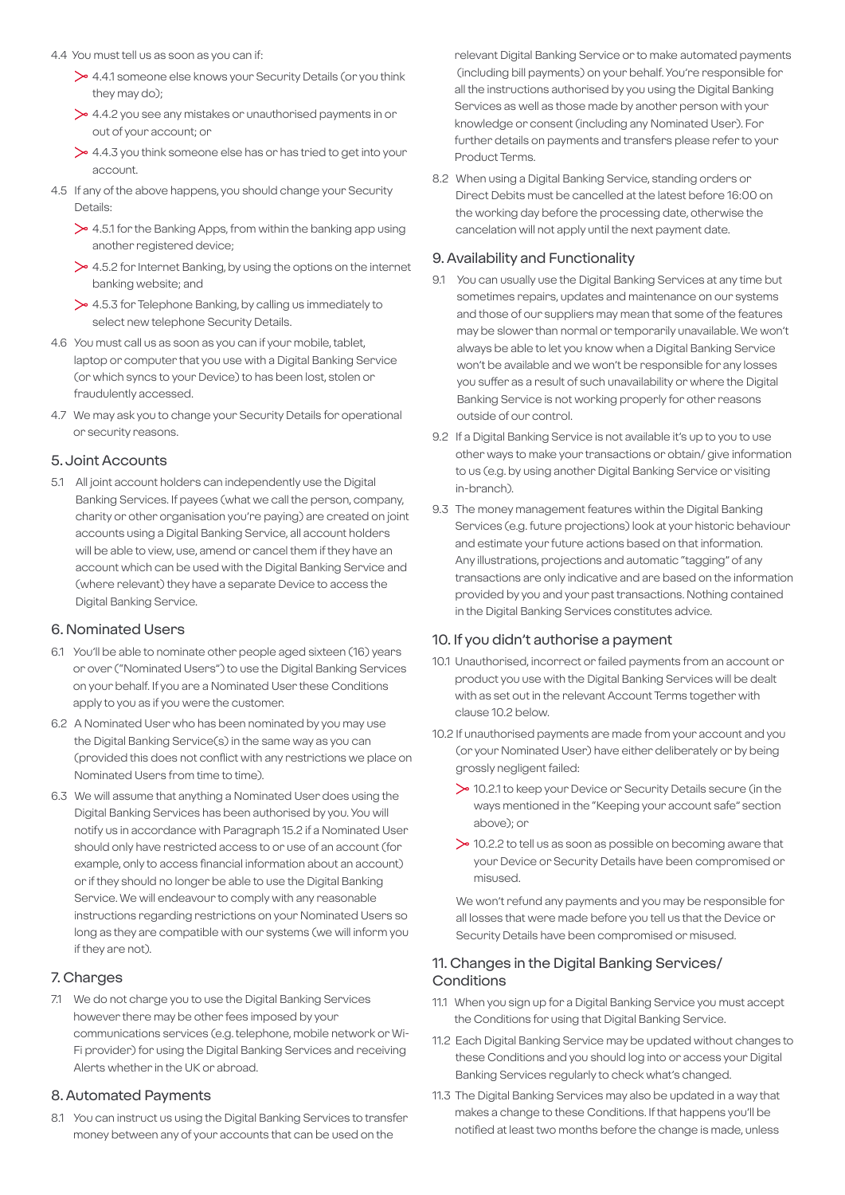- 4.4 You must tell us as soon as you can if:
	- 4.4.1 someone else knows your Security Details (or you think they may do);
	- $\geq 4.4.2$  you see any mistakes or unauthorised payments in or out of your account; or
	- $\geq 4.4.3$  you think someone else has or has tried to get into your account.
- 4.5 If any of the above happens, you should change your Security Details:
	- $\geq 4.5.1$  for the Banking Apps, from within the banking app using another registered device;
	- $\geq 4.5.2$  for Internet Banking, by using the options on the internet banking website; and
	- $\geq 4.5.3$  for Telephone Banking, by calling us immediately to select new telephone Security Details.
- 4.6 You must call us as soon as you can if your mobile, tablet, laptop or computer that you use with a Digital Banking Service (or which syncs to your Device) to has been lost, stolen or fraudulently accessed.
- 4.7 We may ask you to change your Security Details for operational or security reasons.

#### 5. Joint Accounts

5.1 All joint account holders can independently use the Digital Banking Services. If payees (what we call the person, company, charity or other organisation you're paying) are created on joint accounts using a Digital Banking Service, all account holders will be able to view, use, amend or cancel them if they have an account which can be used with the Digital Banking Service and (where relevant) they have a separate Device to access the Digital Banking Service.

#### 6. Nominated Users

- 6.1 You'll be able to nominate other people aged sixteen (16) years or over ("Nominated Users") to use the Digital Banking Services on your behalf. If you are a Nominated User these Conditions apply to you as if you were the customer.
- 6.2 A Nominated User who has been nominated by you may use the Digital Banking Service(s) in the same way as you can (provided this does not conflict with any restrictions we place on Nominated Users from time to time).
- 6.3 We will assume that anything a Nominated User does using the Digital Banking Services has been authorised by you. You will notify us in accordance with Paragraph 15.2 if a Nominated User should only have restricted access to or use of an account (for example, only to access financial information about an account) or if they should no longer be able to use the Digital Banking Service. We will endeavour to comply with any reasonable instructions regarding restrictions on your Nominated Users so long as they are compatible with our systems (we will inform you if they are not).

#### 7. Charges

7.1 We do not charge you to use the Digital Banking Services however there may be other fees imposed by your communications services (e.g. telephone, mobile network or Wi-Fi provider) for using the Digital Banking Services and receiving Alerts whether in the UK or abroad.

#### 8. Automated Payments

8.1 You can instruct us using the Digital Banking Services to transfer money between any of your accounts that can be used on the

relevant Digital Banking Service or to make automated payments (including bill payments) on your behalf. You're responsible for all the instructions authorised by you using the Digital Banking Services as well as those made by another person with your knowledge or consent (including any Nominated User). For further details on payments and transfers please refer to your Product Terms.

8.2 When using a Digital Banking Service, standing orders or Direct Debits must be cancelled at the latest before 16:00 on the working day before the processing date, otherwise the cancelation will not apply until the next payment date.

#### 9. Availability and Functionality

- 9.1 You can usually use the Digital Banking Services at any time but sometimes repairs, updates and maintenance on our systems and those of our suppliers may mean that some of the features may be slower than normal or temporarily unavailable. We won't always be able to let you know when a Digital Banking Service won't be available and we won't be responsible for any losses you suffer as a result of such unavailability or where the Digital Banking Service is not working properly for other reasons outside of our control.
- 9.2 If a Digital Banking Service is not available it's up to you to use other ways to make your transactions or obtain/ give information to us (e.g. by using another Digital Banking Service or visiting in-branch).
- 9.3 The money management features within the Digital Banking Services (e.g. future projections) look at your historic behaviour and estimate your future actions based on that information. Any illustrations, projections and automatic "tagging" of any transactions are only indicative and are based on the information provided by you and your past transactions. Nothing contained in the Digital Banking Services constitutes advice.

#### 10. If you didn't authorise a payment

- 10.1 Unauthorised, incorrect or failed payments from an account or product you use with the Digital Banking Services will be dealt with as set out in the relevant Account Terms together with clause 10.2 below.
- 10.2 If unauthorised payments are made from your account and you (or your Nominated User) have either deliberately or by being grossly negligent failed:
	- 10.2.1 to keep your Device or Security Details secure (in the ways mentioned in the "Keeping your account safe" section above); or
	- $\geq$  10.2.2 to tell us as soon as possible on becoming aware that your Device or Security Details have been compromised or misused.

 We won't refund any payments and you may be responsible for all losses that were made before you tell us that the Device or Security Details have been compromised or misused.

#### 11. Changes in the Digital Banking Services/ **Conditions**

- 11.1 When you sign up for a Digital Banking Service you must accept the Conditions for using that Digital Banking Service.
- 11.2 Each Digital Banking Service may be updated without changes to these Conditions and you should log into or access your Digital Banking Services regularly to check what's changed.
- 11.3 The Digital Banking Services may also be updated in a way that makes a change to these Conditions. If that happens you'll be notified at least two months before the change is made, unless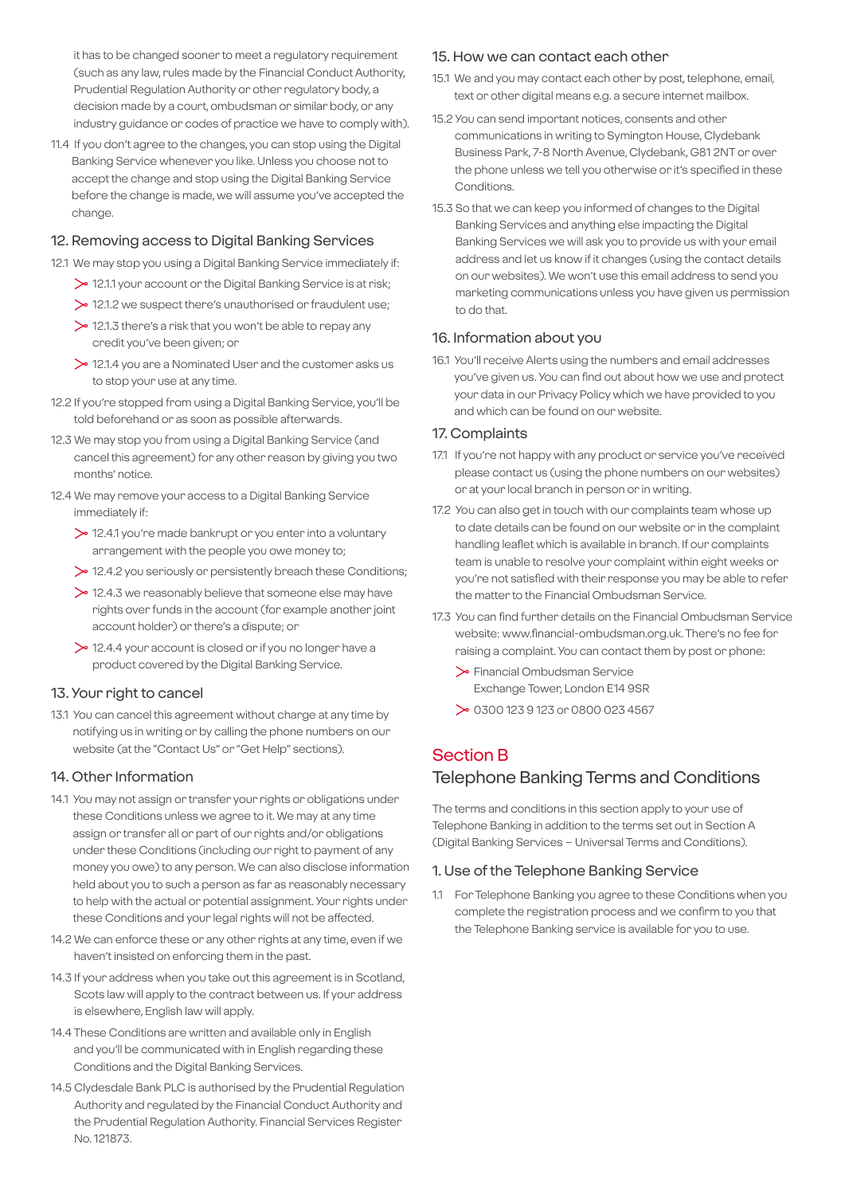it has to be changed sooner to meet a regulatory requirement (such as any law, rules made by the Financial Conduct Authority, Prudential Regulation Authority or other regulatory body, a decision made by a court, ombudsman or similar body, or any industry guidance or codes of practice we have to comply with).

11.4 If you don't agree to the changes, you can stop using the Digital Banking Service whenever you like. Unless you choose not to accept the change and stop using the Digital Banking Service before the change is made, we will assume you've accepted the change.

#### 12. Removing access to Digital Banking Services

- 12.1 We may stop you using a Digital Banking Service immediately if:
	- 12.1.1 your account or the Digital Banking Service is at risk;
	- 12.1.2 we suspect there's unauthorised or fraudulent use;
	- $\geq$  12.1.3 there's a risk that you won't be able to repay any credit you've been given; or
	- 12.1.4 you are a Nominated User and the customer asks us to stop your use at any time.
- 12.2 If you're stopped from using a Digital Banking Service, you'll be told beforehand or as soon as possible afterwards.
- 12.3 We may stop you from using a Digital Banking Service (and cancel this agreement) for any other reason by giving you two months' notice.
- 12.4 We may remove your access to a Digital Banking Service immediately if:
	- 12.4.1 you're made bankrupt or you enter into a voluntary arrangement with the people you owe money to;
	- 12.4.2 you seriously or persistently breach these Conditions;
	- $\geq$  12.4.3 we reasonably believe that someone else may have rights over funds in the account (for example another joint account holder) or there's a dispute; or
	- $\geq$  12.4.4 your account is closed or if you no longer have a product covered by the Digital Banking Service.

#### 13. Your right to cancel

13.1 You can cancel this agreement without charge at any time by notifying us in writing or by calling the phone numbers on our website (at the "Contact Us" or "Get Help" sections).

#### 14. Other Information

- 14.1 You may not assign or transfer your rights or obligations under these Conditions unless we agree to it. We may at any time assign or transfer all or part of our rights and/or obligations under these Conditions (including our right to payment of any money you owe) to any person. We can also disclose information held about you to such a person as far as reasonably necessary to help with the actual or potential assignment. Your rights under these Conditions and your legal rights will not be affected.
- 14.2 We can enforce these or any other rights at any time, even if we haven't insisted on enforcing them in the past.
- 14.3 If your address when you take out this agreement is in Scotland, Scots law will apply to the contract between us. If your address is elsewhere, English law will apply.
- 14.4 These Conditions are written and available only in English and you'll be communicated with in English regarding these Conditions and the Digital Banking Services.
- 14.5 Clydesdale Bank PLC is authorised by the Prudential Regulation Authority and regulated by the Financial Conduct Authority and the Prudential Regulation Authority. Financial Services Register No. 121873.

#### 15. How we can contact each other

- 15.1 We and you may contact each other by post, telephone, email, text or other digital means e.g. a secure internet mailbox.
- 15.2 You can send important notices, consents and other communications in writing to Symington House, Clydebank Business Park, 7-8 North Avenue, Clydebank, G81 2NT or over the phone unless we tell you otherwise or it's specified in these Conditions.
- 15.3 So that we can keep you informed of changes to the Digital Banking Services and anything else impacting the Digital Banking Services we will ask you to provide us with your email address and let us know if it changes (using the contact details on our websites). We won't use this email address to send you marketing communications unless you have given us permission to do that.

#### 16. Information about you

16.1 You'll receive Alerts using the numbers and email addresses you've given us. You can find out about how we use and protect your data in our Privacy Policy which we have provided to you and which can be found on our website.

#### 17. Complaints

- 17.1 If you're not happy with any product or service you've received please contact us (using the phone numbers on our websites) or at your local branch in person or in writing.
- 17.2 You can also get in touch with our complaints team whose up to date details can be found on our website or in the complaint handling leaflet which is available in branch. If our complaints team is unable to resolve your complaint within eight weeks or you're not satisfied with their response you may be able to refer the matter to the Financial Ombudsman Service.
- 17.3 You can find further details on the Financial Ombudsman Service website: www.financial-ombudsman.org.uk. There's no fee for raising a complaint. You can contact them by post or phone:
	- Financial Ombudsman Service Exchange Tower, London E14 9SR
	- 0300 123 9 123 or 0800 023 4567

# Section B

# Telephone Banking Terms and Conditions

The terms and conditions in this section apply to your use of Telephone Banking in addition to the terms set out in Section A (Digital Banking Services – Universal Terms and Conditions).

#### 1. Use of the Telephone Banking Service

1.1 For Telephone Banking you agree to these Conditions when you complete the registration process and we confirm to you that the Telephone Banking service is available for you to use.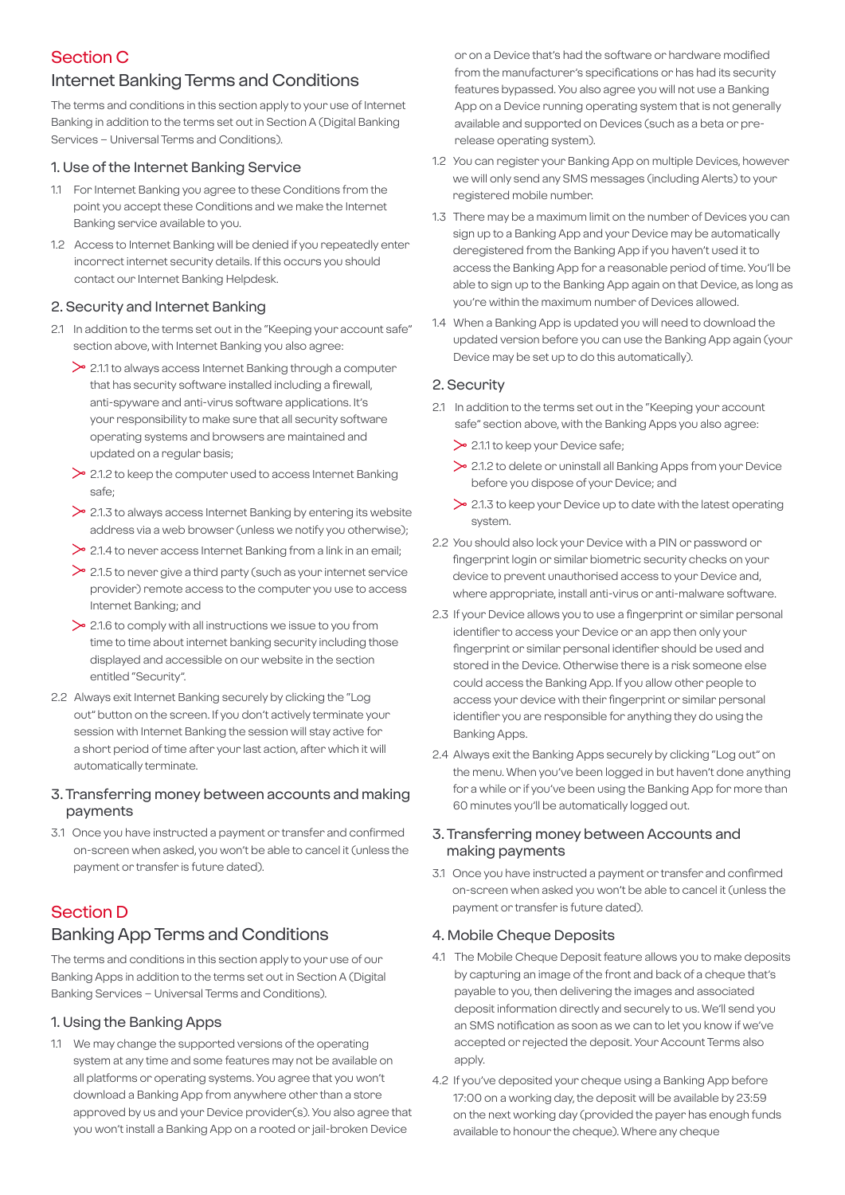# Section C

## Internet Banking Terms and Conditions

The terms and conditions in this section apply to your use of Internet Banking in addition to the terms set out in Section A (Digital Banking Services – Universal Terms and Conditions).

#### 1. Use of the Internet Banking Service

- 1.1 For Internet Banking you agree to these Conditions from the point you accept these Conditions and we make the Internet Banking service available to you.
- 1.2 Access to Internet Banking will be denied if you repeatedly enter incorrect internet security details. If this occurs you should contact our Internet Banking Helpdesk.

#### 2. Security and Internet Banking

- 2.1 In addition to the terms set out in the "Keeping your account safe" section above, with Internet Banking you also agree:
	- $\geq$  2.1.1 to always access Internet Banking through a computer that has security software installed including a firewall, anti-spyware and anti-virus software applications. It's your responsibility to make sure that all security software operating systems and browsers are maintained and updated on a regular basis;
	- $\geq$  2.1.2 to keep the computer used to access Internet Banking safe;
	- $\geq$  2.1.3 to always access Internet Banking by entering its website address via a web browser (unless we notify you otherwise);
	- $\geq$  2.1.4 to never access Internet Banking from a link in an email;
	- $\geq$  2.1.5 to never give a third party (such as your internet service provider) remote access to the computer you use to access Internet Banking; and
	- $\geq$  2.1.6 to comply with all instructions we issue to you from time to time about internet banking security including those displayed and accessible on our website in the section entitled "Security".
- 2.2 Always exit Internet Banking securely by clicking the "Log out" button on the screen. If you don't actively terminate your session with Internet Banking the session will stay active for a short period of time after your last action, after which it will automatically terminate.
- 3. Transferring money between accounts and making payments
- 3.1 Once you have instructed a payment or transfer and confirmed on-screen when asked, you won't be able to cancel it (unless the payment or transfer is future dated).

### Section D

## Banking App Terms and Conditions

The terms and conditions in this section apply to your use of our Banking Apps in addition to the terms set out in Section A (Digital Banking Services – Universal Terms and Conditions).

#### 1. Using the Banking Apps

1.1 We may change the supported versions of the operating system at any time and some features may not be available on all platforms or operating systems. You agree that you won't download a Banking App from anywhere other than a store approved by us and your Device provider(s). You also agree that you won't install a Banking App on a rooted or jail-broken Device

or on a Device that's had the software or hardware modified from the manufacturer's specifications or has had its security features bypassed. You also agree you will not use a Banking App on a Device running operating system that is not generally available and supported on Devices (such as a beta or prerelease operating system).

- 1.2 You can register your Banking App on multiple Devices, however we will only send any SMS messages (including Alerts) to your registered mobile number.
- 1.3 There may be a maximum limit on the number of Devices you can sign up to a Banking App and your Device may be automatically deregistered from the Banking App if you haven't used it to access the Banking App for a reasonable period of time. You'll be able to sign up to the Banking App again on that Device, as long as you're within the maximum number of Devices allowed.
- 1.4 When a Banking App is updated you will need to download the updated version before you can use the Banking App again (your Device may be set up to do this automatically).

#### 2. Security

- 2.1 In addition to the terms set out in the "Keeping your account safe" section above, with the Banking Apps you also agree:
	- $\geq$  2.1.1 to keep your Device safe:
	- 2.1.2 to delete or uninstall all Banking Apps from your Device before you dispose of your Device; and
	- $\geq$  2.1.3 to keep your Device up to date with the latest operating system.
- 2.2 You should also lock your Device with a PIN or password or fingerprint login or similar biometric security checks on your device to prevent unauthorised access to your Device and, where appropriate, install anti-virus or anti-malware software.
- 2.3 If your Device allows you to use a fingerprint or similar personal identifier to access your Device or an app then only your fingerprint or similar personal identifier should be used and stored in the Device. Otherwise there is a risk someone else could access the Banking App. If you allow other people to access your device with their fingerprint or similar personal identifier you are responsible for anything they do using the Banking Apps.
- 2.4 Always exit the Banking Apps securely by clicking "Log out" on the menu. When you've been logged in but haven't done anything for a while or if you've been using the Banking App for more than 60 minutes you'll be automatically logged out.

#### 3. Transferring money between Accounts and making payments

3.1 Once you have instructed a payment or transfer and confirmed on-screen when asked you won't be able to cancel it (unless the payment or transfer is future dated).

#### 4. Mobile Cheque Deposits

- 4.1 The Mobile Cheque Deposit feature allows you to make deposits by capturing an image of the front and back of a cheque that's payable to you, then delivering the images and associated deposit information directly and securely to us. We'll send you an SMS notification as soon as we can to let you know if we've accepted or rejected the deposit. Your Account Terms also apply.
- 4.2 If you've deposited your cheque using a Banking App before 17:00 on a working day, the deposit will be available by 23:59 on the next working day (provided the payer has enough funds available to honour the cheque). Where any cheque